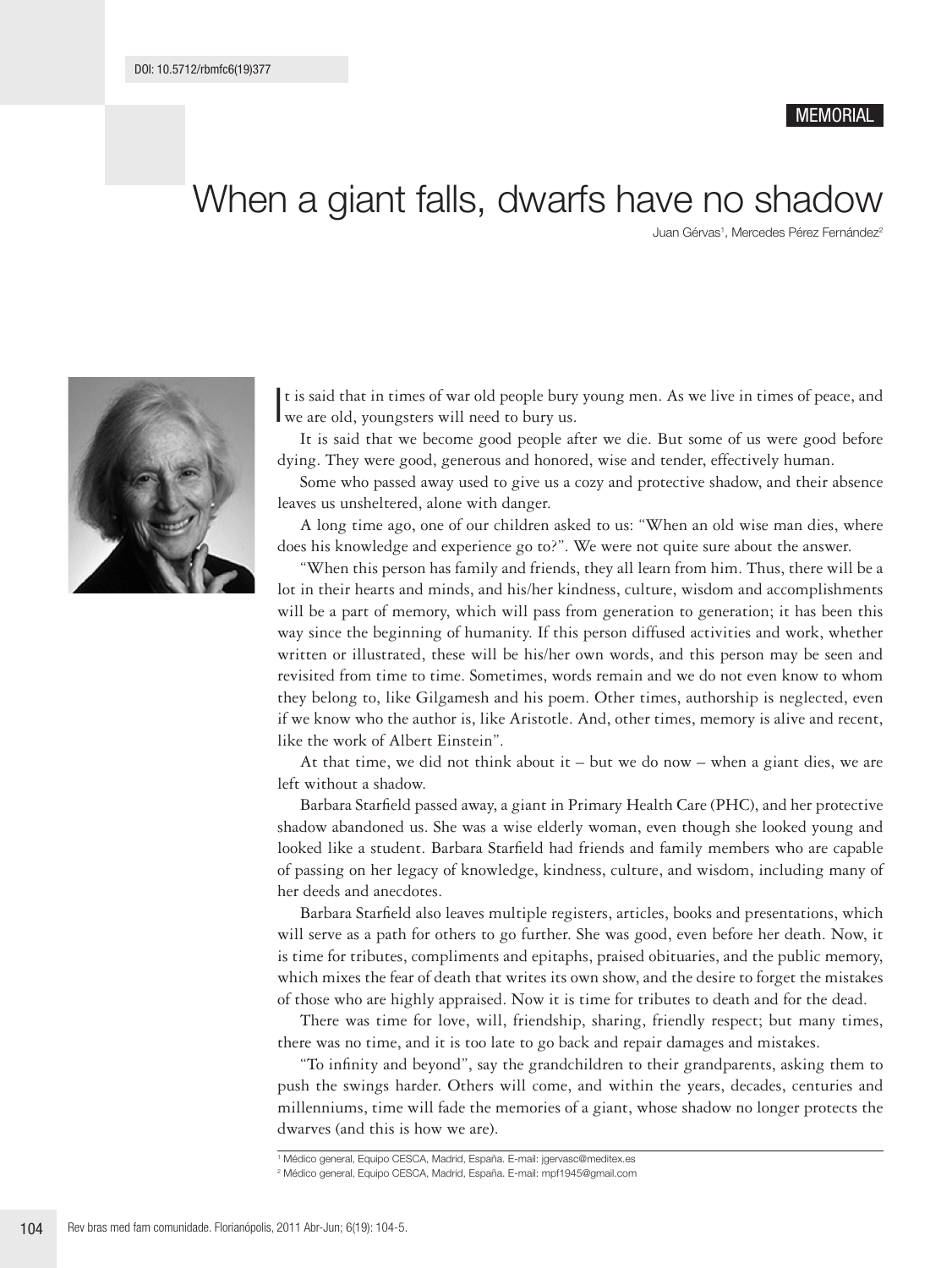## **MEMORIAL**

## When a giant falls, dwarfs have no shadow

Juan Gérvas<sup>1</sup>, Mercedes Pérez Fernández<sup>2</sup>



I we are old, youngsters will need to bury us. t is said that in times of war old people bury young men. As we live in times of peace, and

It is said that we become good people after we die. But some of us were good before dying. They were good, generous and honored, wise and tender, effectively human.

Some who passed away used to give us a cozy and protective shadow, and their absence leaves us unsheltered, alone with danger.

A long time ago, one of our children asked to us: "When an old wise man dies, where does his knowledge and experience go to?". We were not quite sure about the answer.

"When this person has family and friends, they all learn from him. Thus, there will be a lot in their hearts and minds, and his/her kindness, culture, wisdom and accomplishments will be a part of memory, which will pass from generation to generation; it has been this way since the beginning of humanity. If this person diffused activities and work, whether written or illustrated, these will be his/her own words, and this person may be seen and revisited from time to time. Sometimes, words remain and we do not even know to whom they belong to, like Gilgamesh and his poem. Other times, authorship is neglected, even if we know who the author is, like Aristotle. And, other times, memory is alive and recent, like the work of Albert Einstein".

At that time, we did not think about it  $-$  but we do now  $-$  when a giant dies, we are left without a shadow.

Barbara Starfield passed away, a giant in Primary Health Care (PHC), and her protective shadow abandoned us. She was a wise elderly woman, even though she looked young and looked like a student. Barbara Starfield had friends and family members who are capable of passing on her legacy of knowledge, kindness, culture, and wisdom, including many of her deeds and anecdotes.

Barbara Starfield also leaves multiple registers, articles, books and presentations, which will serve as a path for others to go further. She was good, even before her death. Now, it is time for tributes, compliments and epitaphs, praised obituaries, and the public memory, which mixes the fear of death that writes its own show, and the desire to forget the mistakes of those who are highly appraised. Now it is time for tributes to death and for the dead.

There was time for love, will, friendship, sharing, friendly respect; but many times, there was no time, and it is too late to go back and repair damages and mistakes.

"To infinity and beyond", say the grandchildren to their grandparents, asking them to push the swings harder. Others will come, and within the years, decades, centuries and millenniums, time will fade the memories of a giant, whose shadow no longer protects the dwarves (and this is how we are).

<sup>1</sup> Médico general, Equipo CESCA, Madrid, España. E-mail: jgervasc@meditex.es

<sup>2</sup> Médico general, Equipo CESCA, Madrid, España. E-mail: mpf1945@gmail.com